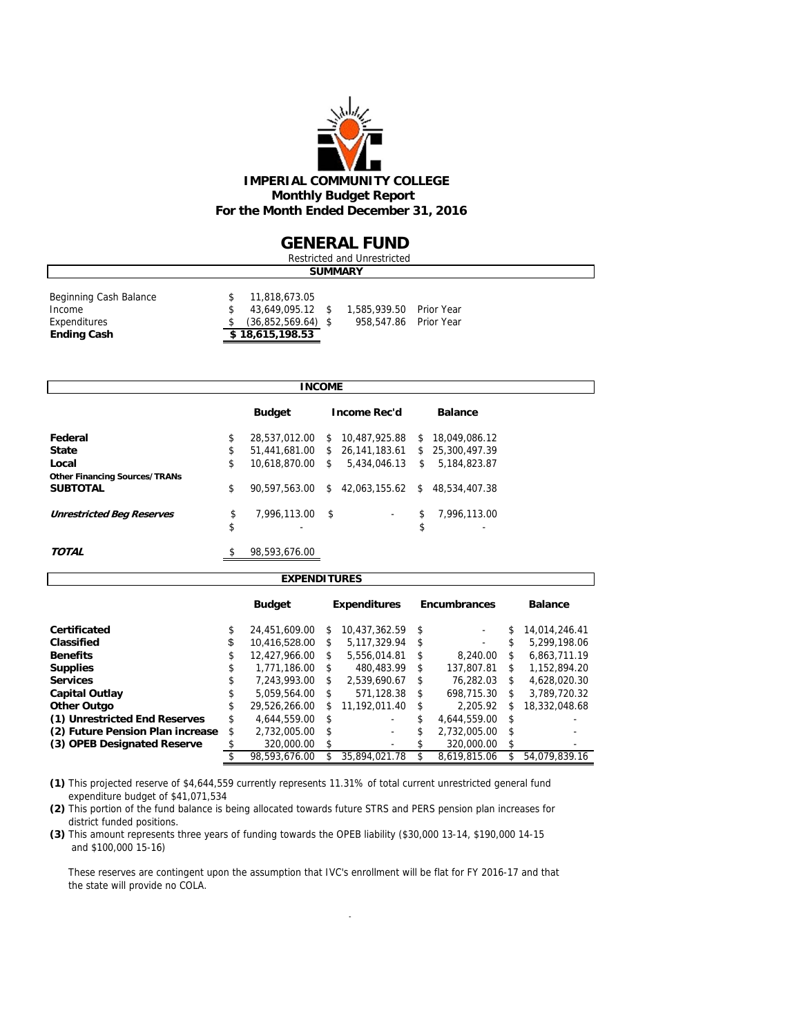

### **GENERAL FUND**

| Restricted and Unrestricted                                            |  |                                                                              |  |                                                  |  |  |  |  |  |  |
|------------------------------------------------------------------------|--|------------------------------------------------------------------------------|--|--------------------------------------------------|--|--|--|--|--|--|
| <b>SUMMARY</b>                                                         |  |                                                                              |  |                                                  |  |  |  |  |  |  |
| Beginning Cash Balance<br>Income<br>Expenditures<br><b>Ending Cash</b> |  | 11,818,673.05<br>43,649,095.12 \$<br>$(36,852,569.64)$ \$<br>\$18,615,198.53 |  | 1.585,939.50 Prior Year<br>958,547.86 Prior Year |  |  |  |  |  |  |

| <b>INCOME</b><br><b>Budget</b><br><b>Income Rec'd</b><br><b>Balance</b><br>28,537,012.00<br>10,487,925.88<br>\$18,049,086.12<br>\$<br>S.<br>51,441,681.00 \$ 26,141,183.61 \$ 25,300,497.39<br>\$<br>\$<br>10.618.870.00 \$<br>5.434.046.13<br>5,184,823.87<br>\$<br>\$<br>42,063,155.62 \$<br>90.597.563.00<br>\$<br>48.534.407.38<br>\$<br>7,996,113.00<br>7.996.113.00<br>\$<br>- \$<br><b>Unrestricted Beg Reserves</b><br>$\overline{\phantom{a}}$<br>\$<br>\$ |    |               |  |  |  |  |
|---------------------------------------------------------------------------------------------------------------------------------------------------------------------------------------------------------------------------------------------------------------------------------------------------------------------------------------------------------------------------------------------------------------------------------------------------------------------|----|---------------|--|--|--|--|
|                                                                                                                                                                                                                                                                                                                                                                                                                                                                     |    |               |  |  |  |  |
| Federal                                                                                                                                                                                                                                                                                                                                                                                                                                                             |    |               |  |  |  |  |
| <b>State</b>                                                                                                                                                                                                                                                                                                                                                                                                                                                        |    |               |  |  |  |  |
| Local                                                                                                                                                                                                                                                                                                                                                                                                                                                               |    |               |  |  |  |  |
| <b>Other Financing Sources/TRANs</b>                                                                                                                                                                                                                                                                                                                                                                                                                                |    |               |  |  |  |  |
| <b>SUBTOTAL</b>                                                                                                                                                                                                                                                                                                                                                                                                                                                     |    |               |  |  |  |  |
|                                                                                                                                                                                                                                                                                                                                                                                                                                                                     |    |               |  |  |  |  |
|                                                                                                                                                                                                                                                                                                                                                                                                                                                                     |    |               |  |  |  |  |
| <b>TOTAL</b>                                                                                                                                                                                                                                                                                                                                                                                                                                                        | \$ | 98.593.676.00 |  |  |  |  |

| <b>EXPENDITURES</b>              |    |               |    |                     |      |                     |    |                |  |  |  |  |  |
|----------------------------------|----|---------------|----|---------------------|------|---------------------|----|----------------|--|--|--|--|--|
|                                  |    | <b>Budget</b> |    | <b>Expenditures</b> |      | <b>Encumbrances</b> |    | <b>Balance</b> |  |  |  |  |  |
| Certificated                     | \$ | 24,451,609.00 | \$ | 10.437.362.59       | \$   |                     | \$ | 14.014.246.41  |  |  |  |  |  |
| Classified                       | \$ | 10.416.528.00 | \$ | 5.117.329.94        | - \$ | ۰                   | \$ | 5.299.198.06   |  |  |  |  |  |
| <b>Benefits</b>                  | \$ | 12.427.966.00 | \$ | 5.556.014.81        | \$   | 8.240.00            | \$ | 6.863.711.19   |  |  |  |  |  |
| <b>Supplies</b>                  | S  | 1.771.186.00  | \$ | 480.483.99          | \$   | 137.807.81          | \$ | 1.152.894.20   |  |  |  |  |  |
| <b>Services</b>                  | S  | 7,243,993.00  | \$ | 2.539.690.67        | \$   | 76.282.03           | \$ | 4.628.020.30   |  |  |  |  |  |
| <b>Capital Outlay</b>            | \$ | 5.059.564.00  | \$ | 571.128.38          | \$   | 698.715.30          | \$ | 3.789.720.32   |  |  |  |  |  |
| <b>Other Outgo</b>               | \$ | 29.526.266.00 | \$ | 11.192.011.40       | \$   | 2.205.92            | \$ | 18,332,048.68  |  |  |  |  |  |
| (1) Unrestricted End Reserves    | \$ | 4.644.559.00  | \$ |                     | \$   | 4.644.559.00        | \$ |                |  |  |  |  |  |
| (2) Future Pension Plan increase | \$ | 2,732,005.00  | \$ | ۰                   | \$   | 2,732,005.00        | \$ |                |  |  |  |  |  |
| (3) OPEB Designated Reserve      |    | 320,000.00    | \$ | ۰                   |      | 320,000.00          | \$ |                |  |  |  |  |  |
|                                  |    | 98.593.676.00 |    | 35.894.021.78       |      | 8.619.815.06        | \$ | 54.079.839.16  |  |  |  |  |  |

**(1)** This projected reserve of \$4,644,559 currently represents 11.31% of total current unrestricted general fund expenditure budget of \$41,071,534

**(2)** This portion of the fund balance is being allocated towards future STRS and PERS pension plan increases for district funded positions.

**(3)** This amount represents three years of funding towards the OPEB liability (\$30,000 13-14, \$190,000 14-15 and \$100,000 15-16)

 These reserves are contingent upon the assumption that IVC's enrollment will be flat for FY 2016-17 and that the state will provide no COLA.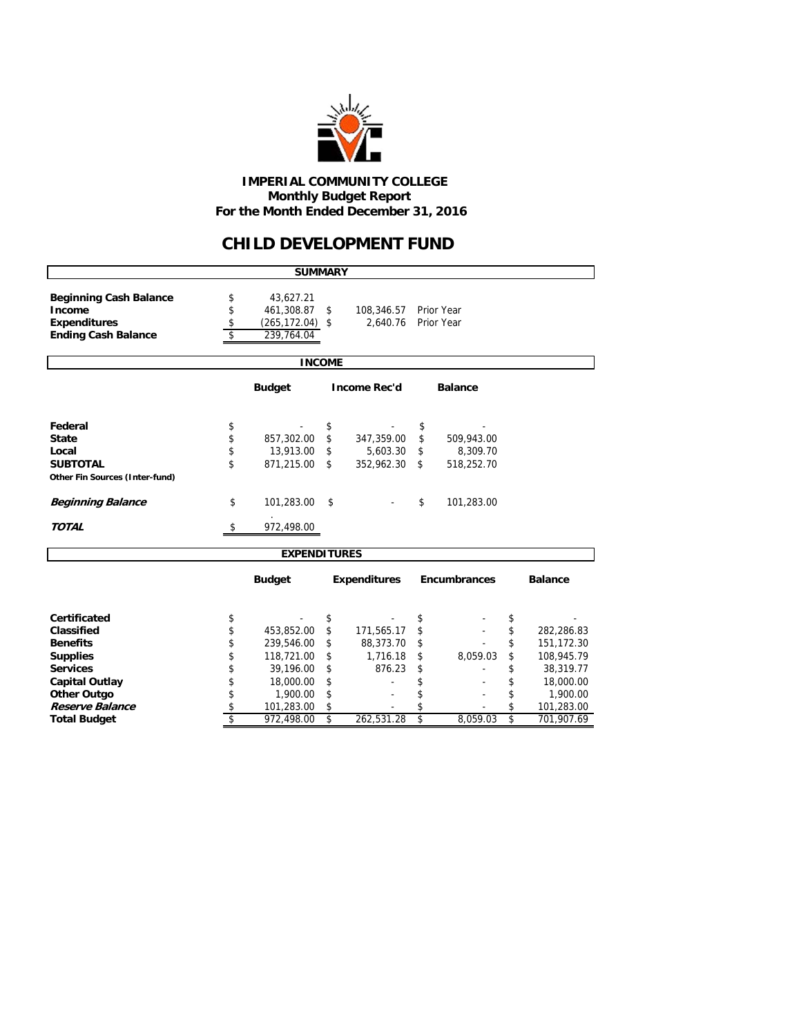

 **IMPERIAL COMMUNITY COLLEGE Monthly Budget Report For the Month Ended December 31, 2016**

### **CHILD DEVELOPMENT FUND**

| <b>SUMMARY</b>                                         |    |                     |    |                     |    |              |    |                |  |  |  |  |
|--------------------------------------------------------|----|---------------------|----|---------------------|----|--------------|----|----------------|--|--|--|--|
| <b>Beginning Cash Balance</b>                          | \$ | 43,627.21           |    |                     |    |              |    |                |  |  |  |  |
| Income                                                 | \$ | 461,308.87          | \$ | 108,346.57          |    | Prior Year   |    |                |  |  |  |  |
| <b>Expenditures</b>                                    | \$ | $(265, 172.04)$ \$  |    | 2.640.76            |    | Prior Year   |    |                |  |  |  |  |
| <b>Ending Cash Balance</b>                             | \$ | 239.764.04          |    |                     |    |              |    |                |  |  |  |  |
| <b>INCOME</b>                                          |    |                     |    |                     |    |              |    |                |  |  |  |  |
|                                                        |    |                     |    |                     |    |              |    |                |  |  |  |  |
| <b>Budget</b><br><b>Income Rec'd</b><br><b>Balance</b> |    |                     |    |                     |    |              |    |                |  |  |  |  |
| Federal                                                | \$ |                     | \$ |                     | \$ |              |    |                |  |  |  |  |
| <b>State</b>                                           | \$ | 857,302.00          | \$ | 347,359.00          | \$ | 509,943.00   |    |                |  |  |  |  |
| Local                                                  | \$ | 13,913.00           | \$ | 5,603.30            | \$ | 8,309.70     |    |                |  |  |  |  |
| <b>SUBTOTAL</b>                                        | \$ | 871,215.00          | \$ | 352,962.30          | \$ | 518,252.70   |    |                |  |  |  |  |
| Other Fin Sources (Inter-fund)                         |    |                     |    |                     |    |              |    |                |  |  |  |  |
| <b>Beginning Balance</b>                               | \$ | 101,283.00          | \$ |                     | \$ | 101,283.00   |    |                |  |  |  |  |
| <b>TOTAL</b>                                           | \$ | 972,498.00          |    |                     |    |              |    |                |  |  |  |  |
|                                                        |    | <b>EXPENDITURES</b> |    |                     |    |              |    |                |  |  |  |  |
|                                                        |    |                     |    |                     |    |              |    |                |  |  |  |  |
|                                                        |    | <b>Budget</b>       |    | <b>Expenditures</b> |    | Encumbrances |    | <b>Balance</b> |  |  |  |  |
| <b>Certificated</b>                                    | \$ |                     | \$ |                     | \$ |              | \$ |                |  |  |  |  |
| Classified                                             | \$ | 453,852.00          | \$ | 171,565.17          | \$ |              | \$ | 282,286.83     |  |  |  |  |
| <b>Benefits</b>                                        | \$ | 239,546.00          | \$ | 88,373.70           | \$ |              | \$ | 151,172.30     |  |  |  |  |
| <b>Supplies</b>                                        | \$ | 118,721.00          | \$ | 1,716.18            | \$ | 8,059.03     | \$ | 108,945.79     |  |  |  |  |
| <b>Services</b>                                        | \$ | 39,196.00           | \$ | 876.23              | \$ |              | \$ | 38,319.77      |  |  |  |  |
| <b>Capital Outlay</b>                                  | \$ | 18,000.00           | \$ |                     | \$ |              | \$ | 18,000.00      |  |  |  |  |
| <b>Other Outgo</b>                                     | \$ | 1,900.00            | \$ |                     | \$ |              | \$ | 1,900.00       |  |  |  |  |
| Reserve Balance                                        | \$ | 101,283.00          | \$ |                     | \$ |              | \$ | 101,283.00     |  |  |  |  |
| <b>Total Budget</b>                                    | \$ | 972,498.00          | \$ | 262,531.28          | \$ | 8,059.03     | \$ | 701,907.69     |  |  |  |  |
|                                                        |    |                     |    |                     |    |              |    |                |  |  |  |  |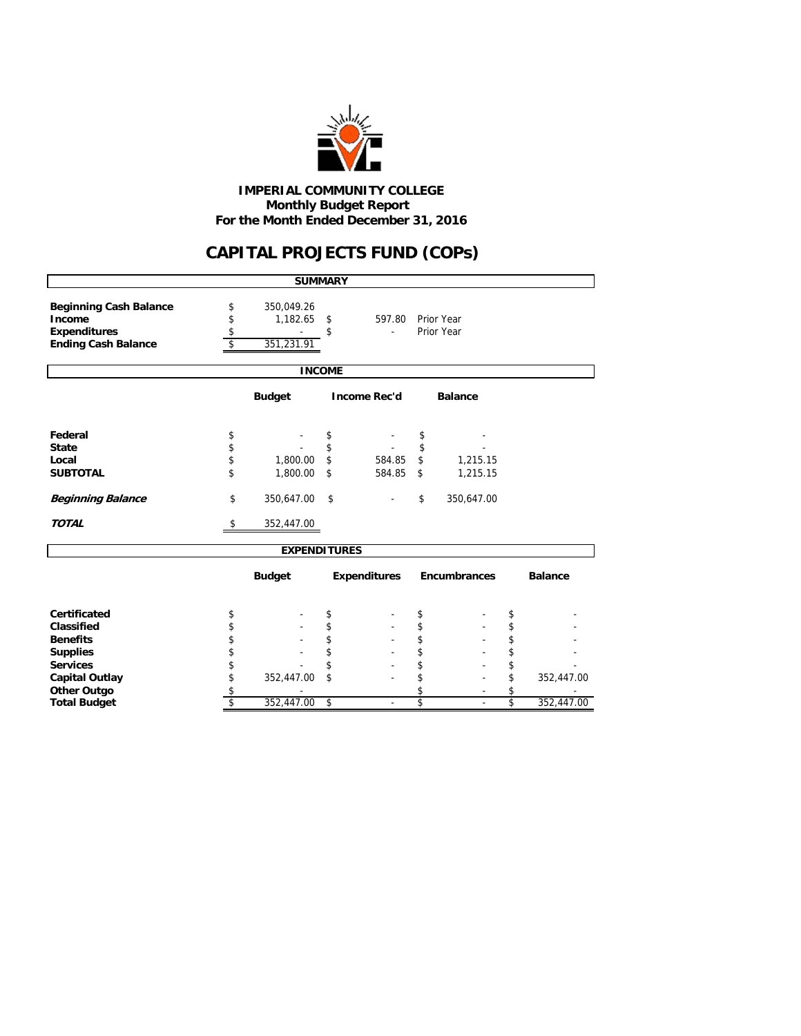

 **Monthly Budget Report For the Month Ended December 31, 2016 IMPERIAL COMMUNITY COLLEGE**

# **CAPITAL PROJECTS FUND (COPs)**

|                                                                                              |                                                        | <b>SUMMARY</b>                       |               |                     |    |                          |                         |                |  |  |
|----------------------------------------------------------------------------------------------|--------------------------------------------------------|--------------------------------------|---------------|---------------------|----|--------------------------|-------------------------|----------------|--|--|
| <b>Beginning Cash Balance</b><br>Income<br><b>Expenditures</b><br><b>Ending Cash Balance</b> | \$<br>\$<br>\$<br>\$                                   | 350,049.26<br>1,182.65<br>351,231.91 | \$<br>\$      | 597.80              |    | Prior Year<br>Prior Year |                         |                |  |  |
|                                                                                              |                                                        |                                      | <b>INCOME</b> |                     |    |                          |                         |                |  |  |
|                                                                                              | <b>Budget</b><br><b>Income Rec'd</b><br><b>Balance</b> |                                      |               |                     |    |                          |                         |                |  |  |
| Federal                                                                                      | \$                                                     |                                      | \$            |                     | \$ |                          |                         |                |  |  |
| <b>State</b>                                                                                 | \$                                                     |                                      | \$            |                     | \$ |                          |                         |                |  |  |
| Local                                                                                        | \$                                                     | 1,800.00                             | \$            | 584.85              | \$ | 1,215.15                 |                         |                |  |  |
| <b>SUBTOTAL</b>                                                                              | \$                                                     | 1,800.00                             | \$            | 584.85              | \$ | 1,215.15                 |                         |                |  |  |
| <b>Beginning Balance</b>                                                                     | \$                                                     | 350,647.00                           | \$            |                     | \$ | 350,647.00               |                         |                |  |  |
| <b>TOTAL</b>                                                                                 | \$                                                     | 352,447.00                           |               |                     |    |                          |                         |                |  |  |
|                                                                                              |                                                        | <b>EXPENDITURES</b>                  |               |                     |    |                          |                         |                |  |  |
|                                                                                              |                                                        | <b>Budget</b>                        |               | <b>Expenditures</b> |    | Encumbrances             |                         | <b>Balance</b> |  |  |
| Certificated                                                                                 | \$                                                     |                                      | \$            |                     | \$ |                          | \$                      |                |  |  |
| Classified                                                                                   | \$                                                     |                                      | \$            |                     | \$ |                          | \$                      |                |  |  |
| <b>Benefits</b>                                                                              | \$                                                     |                                      | \$            |                     | \$ |                          | \$                      |                |  |  |
| <b>Supplies</b>                                                                              | \$                                                     |                                      | \$            |                     | \$ |                          | \$                      |                |  |  |
| <b>Services</b>                                                                              | \$                                                     |                                      | \$            |                     | \$ |                          | \$                      |                |  |  |
| <b>Capital Outlay</b>                                                                        | \$                                                     | 352,447.00                           | \$            |                     | \$ |                          | \$                      | 352,447.00     |  |  |
| <b>Other Outgo</b>                                                                           | \$                                                     |                                      |               |                     | \$ |                          | \$                      |                |  |  |
| <b>Total Budget</b>                                                                          | \$                                                     | 352,447.00                           | \$            | $\blacksquare$      | \$ | $\blacksquare$           | $\overline{\mathsf{s}}$ | 352,447.00     |  |  |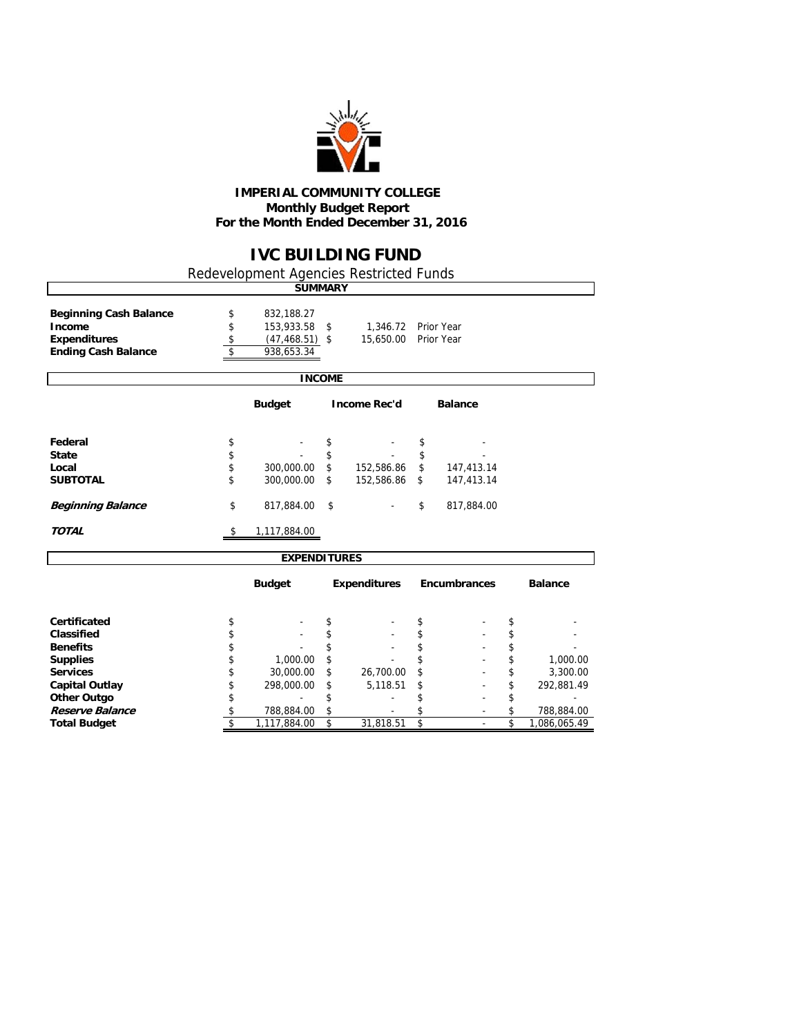

#### **IMPERIAL COMMUNITY COLLEGE Monthly Budget Report For the Month Ended December 31, 2016**

## **IVC BUILDING FUND**

Redevelopment Agencies Restricted Funds

|                                         |          | <b>SUMMARY</b>           |               |                     |            |                |    |                |
|-----------------------------------------|----------|--------------------------|---------------|---------------------|------------|----------------|----|----------------|
| <b>Beginning Cash Balance</b><br>Income | \$<br>\$ | 832,188.27<br>153,933.58 | \$            | 1,346.72 Prior Year |            |                |    |                |
| <b>Expenditures</b>                     | \$       | $(47, 468.51)$ \$        |               | 15,650.00           | Prior Year |                |    |                |
| <b>Ending Cash Balance</b>              | \$       | 938,653.34               |               |                     |            |                |    |                |
|                                         |          |                          | <b>INCOME</b> |                     |            |                |    |                |
|                                         |          | <b>Budget</b>            |               | <b>Income Rec'd</b> |            | <b>Balance</b> |    |                |
| Federal                                 | \$       |                          | \$            |                     | \$         |                |    |                |
| <b>State</b>                            | \$       |                          | \$            |                     | \$         |                |    |                |
| Local                                   | \$       | 300,000.00               | \$            | 152,586.86          | \$         | 147,413.14     |    |                |
| <b>SUBTOTAL</b>                         | \$       | 300,000.00               | \$            | 152,586.86          | \$         | 147,413.14     |    |                |
| <b>Beginning Balance</b>                | \$       | 817,884.00               | \$            |                     | \$         | 817,884.00     |    |                |
| <b>TOTAL</b>                            | \$       | 1,117,884.00             |               |                     |            |                |    |                |
|                                         |          | <b>EXPENDITURES</b>      |               |                     |            |                |    |                |
|                                         |          | <b>Budget</b>            |               | <b>Expenditures</b> |            | Encumbrances   |    | <b>Balance</b> |
| <b>Certificated</b>                     | \$       |                          | \$            |                     | \$         |                | \$ |                |
| Classified                              | \$       |                          | \$            |                     | \$         |                | \$ |                |
| <b>Benefits</b>                         | \$       |                          | \$            |                     | \$         |                | \$ |                |
| <b>Supplies</b>                         | \$       | 1,000.00                 | \$            |                     | \$         |                | \$ | 1,000.00       |
| <b>Services</b>                         | \$       | 30,000.00                |               | 26,700.00           | \$         |                | \$ | 3,300.00       |
| <b>Capital Outlay</b>                   | \$       | 298,000.00               | \$            | 5,118.51            | \$         |                | \$ | 292,881.49     |

**Other Outgo** \$ - - \$ - \$ - \$ **Reserve Balance** \$ - 788,884.00 \$ - \$ 788,884.00 \$

**Total Budgett \$** 31,818.51 \$ - \$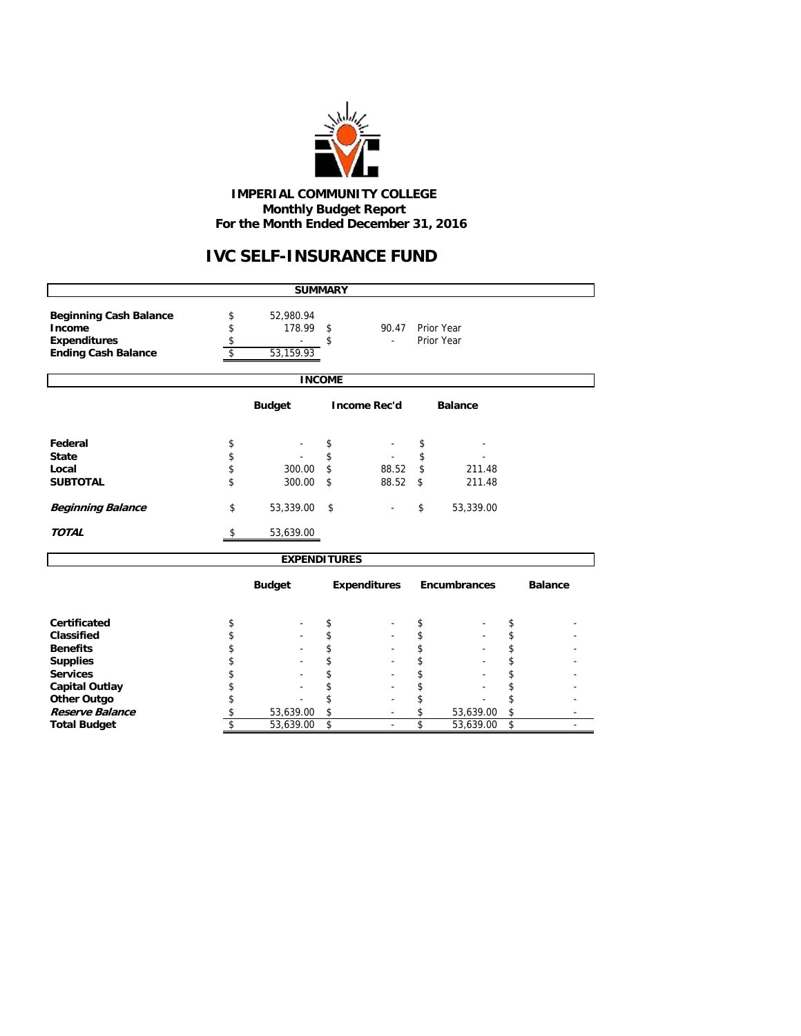

#### **IMPERIAL COMMUNITY COLLEGE Monthly Budget Report For the Month Ended December 31, 2016**

# **IVC SELF-INSURANCE FUND**

|                                                                                              |                                                        | <b>SUMMARY</b>      |                |                     |                |                     |          |                |  |  |  |
|----------------------------------------------------------------------------------------------|--------------------------------------------------------|---------------------|----------------|---------------------|----------------|---------------------|----------|----------------|--|--|--|
| <b>Beginning Cash Balance</b><br>Income<br><b>Expenditures</b><br><b>Ending Cash Balance</b> | \$<br>\$<br>\$                                         |                     |                |                     |                |                     |          |                |  |  |  |
|                                                                                              |                                                        |                     | <b>INCOME</b>  |                     |                |                     |          |                |  |  |  |
|                                                                                              | <b>Budget</b><br><b>Income Rec'd</b><br><b>Balance</b> |                     |                |                     |                |                     |          |                |  |  |  |
| Federal                                                                                      | \$                                                     |                     | \$             |                     | \$             |                     |          |                |  |  |  |
| <b>State</b><br>Local<br><b>SUBTOTAL</b>                                                     | \$<br>\$<br>\$                                         | 300.00<br>300.00    | \$<br>\$<br>\$ | 88.52<br>88.52      | \$<br>\$<br>\$ | 211.48<br>211.48    |          |                |  |  |  |
| <b>Beginning Balance</b>                                                                     | \$                                                     | 53,339.00           | \$             |                     | \$             | 53,339.00           |          |                |  |  |  |
| <b>TOTAL</b>                                                                                 | \$                                                     | 53,639.00           |                |                     |                |                     |          |                |  |  |  |
|                                                                                              |                                                        | <b>EXPENDITURES</b> |                |                     |                |                     |          |                |  |  |  |
|                                                                                              |                                                        | <b>Budget</b>       |                | <b>Expenditures</b> |                | <b>Encumbrances</b> |          | <b>Balance</b> |  |  |  |
| Certificated                                                                                 | \$                                                     |                     | \$             |                     | \$             |                     | \$       |                |  |  |  |
| Classified                                                                                   | \$                                                     |                     | \$             |                     | \$             |                     | \$       |                |  |  |  |
| <b>Benefits</b><br><b>Supplies</b>                                                           | \$<br>\$                                               |                     | \$<br>\$       |                     | \$<br>\$       |                     | \$<br>\$ |                |  |  |  |
| <b>Services</b>                                                                              | \$                                                     |                     | \$             |                     | \$             |                     | \$       |                |  |  |  |
| <b>Capital Outlay</b>                                                                        | \$                                                     |                     | \$             |                     | \$             |                     | \$       |                |  |  |  |
| <b>Other Outgo</b>                                                                           | \$                                                     |                     | \$             |                     | \$             |                     | \$       |                |  |  |  |
| Reserve Balance                                                                              | \$                                                     | 53,639.00           | \$             |                     | \$             | 53,639.00           | \$       |                |  |  |  |
| <b>Total Budget</b>                                                                          | \$                                                     | 53,639.00           | \$             |                     | \$             | 53,639.00           | \$       |                |  |  |  |